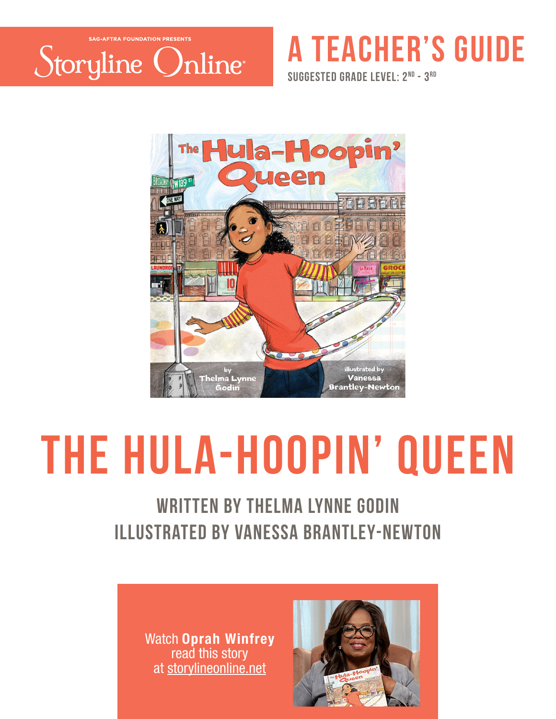

## **a teacher's guide**

**suggested grade level: 2nd - 3rd**



# **The Hula-hoopin' queen**

### written by thelma lynne godin illustraTed by vanessa brantley-newton

Watch Oprah Winfrey read this story at storylineonline.net

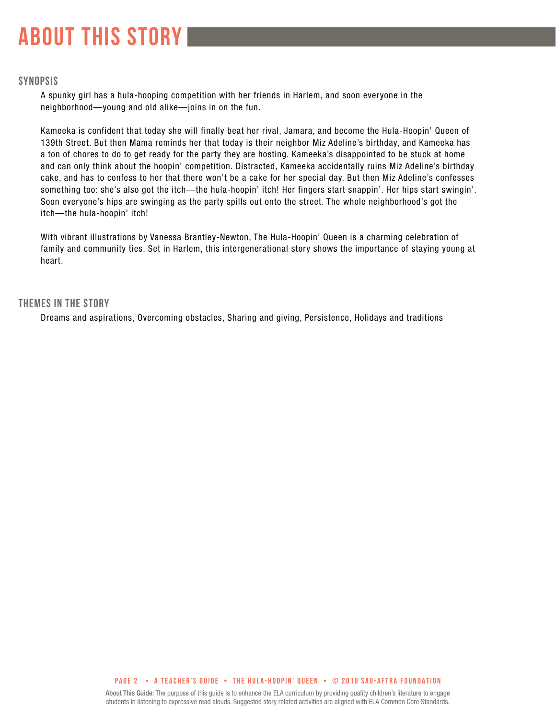## **about this story**

#### **SYNOPSIS**

A spunky girl has a hula-hooping competition with her friends in Harlem, and soon everyone in the neighborhood—young and old alike—joins in on the fun.

Kameeka is confident that today she will finally beat her rival, Jamara, and become the Hula-Hoopin' Queen of 139th Street. But then Mama reminds her that today is their neighbor Miz Adeline's birthday, and Kameeka has a ton of chores to do to get ready for the party they are hosting. Kameeka's disappointed to be stuck at home and can only think about the hoopin' competition. Distracted, Kameeka accidentally ruins Miz Adeline's birthday cake, and has to confess to her that there won't be a cake for her special day. But then Miz Adeline's confesses something too: she's also got the itch—the hula-hoopin' itch! Her fingers start snappin'. Her hips start swingin'. Soon everyone's hips are swinging as the party spills out onto the street. The whole neighborhood's got the itch—the hula-hoopin' itch!

With vibrant illustrations by Vanessa Brantley-Newton, The Hula-Hoopin' Queen is a charming celebration of family and community ties. Set in Harlem, this intergenerational story shows the importance of staying young at heart.

#### **THEMES IN THE STORY**

Dreams and aspirations, Overcoming obstacles, Sharing and giving, Persistence, Holidays and traditions

#### **PAGE 2 • A teacher's GUIDE • the hula-hoopin' queen • © 2019 SAG-AFTRA FOUNDATION**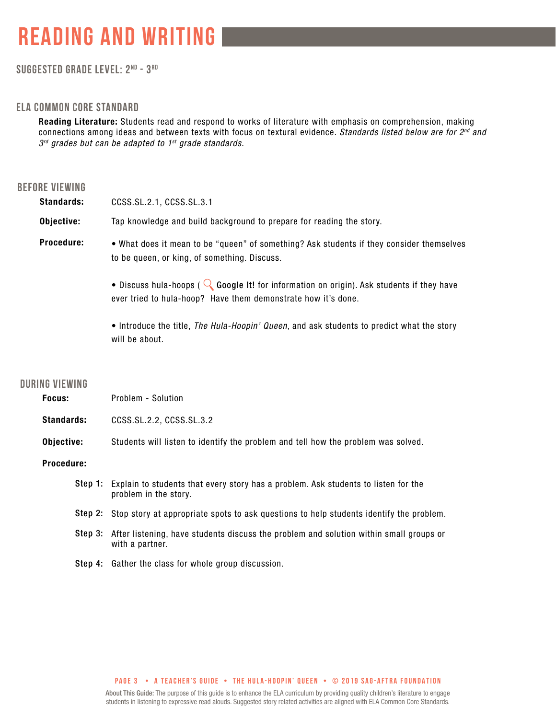#### **Suggested grade level: 2nd - 3 rd**

#### **ela common core standard**

Reading Literature: Students read and respond to works of literature with emphasis on comprehension, making connections among ideas and between texts with focus on textural evidence. *Standards listed below are for 2nd and 3rd grades but can be adapted to 1st grade standards.*

#### **before viewing**

| <b>Standards:</b>     | CCSS.SL.2.1, CCSS.SL.3.1                                                                                                                                            |  |  |  |  |
|-----------------------|---------------------------------------------------------------------------------------------------------------------------------------------------------------------|--|--|--|--|
| Objective:            | Tap knowledge and build background to prepare for reading the story.                                                                                                |  |  |  |  |
| Procedure:            | . What does it mean to be "queen" of something? Ask students if they consider themselves<br>to be queen, or king, of something. Discuss.                            |  |  |  |  |
|                       | • Discuss hula-hoops ( $\bigcirc$ Google It! for information on origin). Ask students if they have<br>ever tried to hula-hoop? Have them demonstrate how it's done. |  |  |  |  |
|                       | • Introduce the title, The Hula-Hoopin' Queen, and ask students to predict what the story<br>will be about.                                                         |  |  |  |  |
| <b>DURING VIEWING</b> |                                                                                                                                                                     |  |  |  |  |
| Focus:                | Problem - Solution                                                                                                                                                  |  |  |  |  |
| <b>Standards:</b>     | CCSS.SL.2.2, CCSS.SL.3.2                                                                                                                                            |  |  |  |  |
| Objective:            | Students will listen to identify the problem and tell how the problem was solved.                                                                                   |  |  |  |  |

Procedure:

- Step 1: Explain to students that every story has a problem. Ask students to listen for the problem in the story.
- Step 2: Stop story at appropriate spots to ask questions to help students identify the problem.
- Step 3: After listening, have students discuss the problem and solution within small groups or with a partner.
- Step 4: Gather the class for whole group discussion.

#### **PAGE 3 • A teacher's GUIDE • the hula-hoopin' queen • © 2019 SAG-AFTRA FOUNDATION**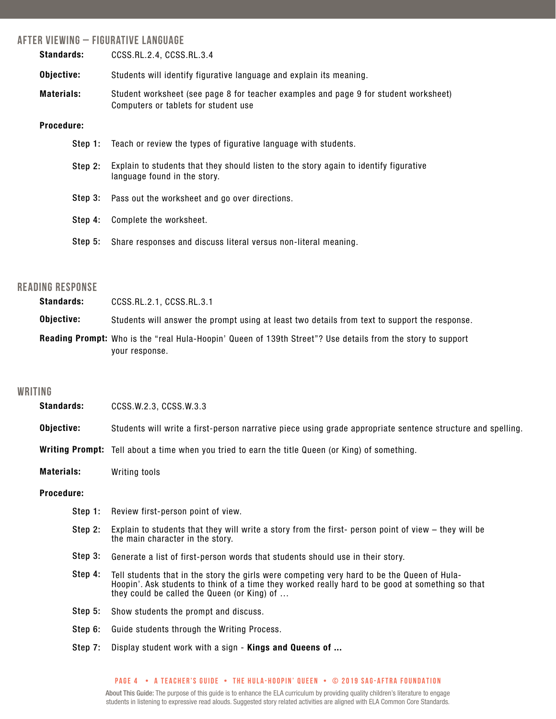#### **after viewing – Figurative language**

| <b>Standards:</b> | CCSS.RL.2.4, CCSS.RL.3.4                                                                                                     |  |  |  |  |
|-------------------|------------------------------------------------------------------------------------------------------------------------------|--|--|--|--|
| Objective:        | Students will identify figurative language and explain its meaning.                                                          |  |  |  |  |
| <b>Materials:</b> | Student worksheet (see page 8 for teacher examples and page 9 for student worksheet)<br>Computers or tablets for student use |  |  |  |  |
| <b>Procedure:</b> |                                                                                                                              |  |  |  |  |
| Step 1:           | Teach or review the types of figurative language with students.                                                              |  |  |  |  |
| Step 2:           | Explain to students that they should listen to the story again to identify figurative<br>language found in the story.        |  |  |  |  |
| Step 3:           | Pass out the worksheet and go over directions.                                                                               |  |  |  |  |
| Step 4:           | Complete the worksheet.                                                                                                      |  |  |  |  |
| Step 5:           | Share responses and discuss literal versus non-literal meaning.                                                              |  |  |  |  |

#### **reading response**

| <b>Standards:</b> | CCSS.RL.2.1, CCSS.RL.3.1                                                                                                             |
|-------------------|--------------------------------------------------------------------------------------------------------------------------------------|
| Obiective:        | Students will answer the prompt using at least two details from text to support the response.                                        |
|                   | <b>Reading Prompt:</b> Who is the "real Hula-Hoopin' Queen of 139th Street"? Use details from the story to support<br>your response. |

#### **writing**

| <b>Standards:</b>                                                                                                                                                                                                                                         | CCSS.W.2.3, CCSS.W.3.3                                                                                                                   |  |  |  |
|-----------------------------------------------------------------------------------------------------------------------------------------------------------------------------------------------------------------------------------------------------------|------------------------------------------------------------------------------------------------------------------------------------------|--|--|--|
| Objective:                                                                                                                                                                                                                                                | Students will write a first-person narrative piece using grade appropriate sentence structure and spelling.                              |  |  |  |
|                                                                                                                                                                                                                                                           | <b>Writing Prompt:</b> Tell about a time when you tried to earn the title Queen (or King) of something.                                  |  |  |  |
| <b>Materials:</b>                                                                                                                                                                                                                                         | Writing tools                                                                                                                            |  |  |  |
| <b>Procedure:</b>                                                                                                                                                                                                                                         |                                                                                                                                          |  |  |  |
| Step 1:                                                                                                                                                                                                                                                   | Review first-person point of view.                                                                                                       |  |  |  |
| Step 2:                                                                                                                                                                                                                                                   | Explain to students that they will write a story from the first- person point of view – they will be<br>the main character in the story. |  |  |  |
| Step 3:                                                                                                                                                                                                                                                   | Generate a list of first-person words that students should use in their story.                                                           |  |  |  |
| Step 4:<br>Tell students that in the story the girls were competing very hard to be the Queen of Hula-<br>Hoopin'. Ask students to think of a time they worked really hard to be good at something so that<br>they could be called the Queen (or King) of |                                                                                                                                          |  |  |  |
| Step 5:                                                                                                                                                                                                                                                   | Show students the prompt and discuss.                                                                                                    |  |  |  |
| Step 6:                                                                                                                                                                                                                                                   | Guide students through the Writing Process.                                                                                              |  |  |  |
| Step 7:                                                                                                                                                                                                                                                   | Display student work with a sign - Kings and Queens of                                                                                   |  |  |  |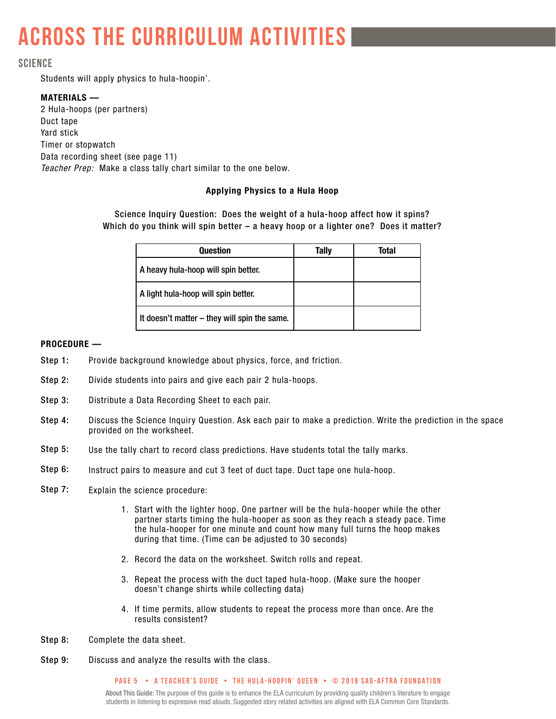## **across the curriculum activities**

#### **science**

Students will apply physics to hula-hoopin'.

#### MATERIALS —

2 Hula-hoops (per partners) Duct tape Yard stick Timer or stopwatch Data recording sheet (see page 11) *Teacher Prep:* Make a class tally chart similar to the one below.

#### Applying Physics to a Hula Hoop

Science Inquiry Question: Does the weight of a hula-hoop affect how it spins? Which do you think will spin better – a heavy hoop or a lighter one? Does it matter?

| <b>Question</b>                              | Tally | Total |
|----------------------------------------------|-------|-------|
| A heavy hula-hoop will spin better.          |       |       |
| A light hula-hoop will spin better.          |       |       |
| It doesn't matter – they will spin the same. |       |       |

#### PROCEDURE —

- Provide background knowledge about physics, force, and friction. Step 1:
- Divide students into pairs and give each pair 2 hula-hoops. Step 2:
- Distribute a Data Recording Sheet to each pair. Step 3:
- Discuss the Science Inquiry Question. Ask each pair to make a prediction. Write the prediction in the space provided on the worksheet. Step 4:
- Use the tally chart to record class predictions. Have students total the tally marks. Step 5:
- Instruct pairs to measure and cut 3 feet of duct tape. Duct tape one hula-hoop. Step 6:
- Explain the science procedure: Step 7:
	- 1. Start with the lighter hoop. One partner will be the hula-hooper while the other partner starts timing the hula-hooper as soon as they reach a steady pace. Time the hula-hooper for one minute and count how many full turns the hoop makes during that time. (Time can be adjusted to 30 seconds)
	- 2. Record the data on the worksheet. Switch rolls and repeat.
	- 3. Repeat the process with the duct taped hula-hoop. (Make sure the hooper doesn't change shirts while collecting data)
	- 4. If time permits, allow students to repeat the process more than once. Are the results consistent?
- Complete the data sheet. Step 8:
- Discuss and analyze the results with the class. Step 9:

#### **PAGE 5 • A teacher's GUIDE • the hula-hoopin' queen • © 2019 SAG-AFTRA FOUNDATION**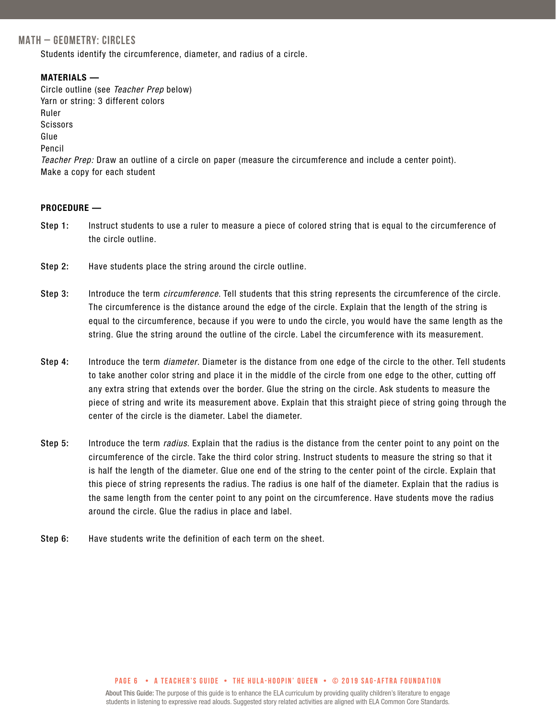#### **MATH – GEOMETRY: CIRCLES**

Students identify the circumference, diameter, and radius of a circle.

#### MATERIALS —

Circle outline (see *Teacher Prep* below) Yarn or string: 3 different colors Ruler **Scissors** Glue Pencil *Teacher Prep:* Draw an outline of a circle on paper (measure the circumference and include a center point). Make a copy for each student

#### PROCEDURE —

- Instruct students to use a ruler to measure a piece of colored string that is equal to the circumference of the circle outline. Step 1:
- Have students place the string around the circle outline. Step 2:
- Introduce the term *circumference*. Tell students that this string represents the circumference of the circle. The circumference is the distance around the edge of the circle. Explain that the length of the string is equal to the circumference, because if you were to undo the circle, you would have the same length as the string. Glue the string around the outline of the circle. Label the circumference with its measurement. Step 3:
- Introduce the term *diameter*. Diameter is the distance from one edge of the circle to the other. Tell students to take another color string and place it in the middle of the circle from one edge to the other, cutting off any extra string that extends over the border. Glue the string on the circle. Ask students to measure the piece of string and write its measurement above. Explain that this straight piece of string going through the center of the circle is the diameter. Label the diameter. Step 4:
- Introduce the term *radius*. Explain that the radius is the distance from the center point to any point on the circumference of the circle. Take the third color string. Instruct students to measure the string so that it is half the length of the diameter. Glue one end of the string to the center point of the circle. Explain that this piece of string represents the radius. The radius is one half of the diameter. Explain that the radius is the same length from the center point to any point on the circumference. Have students move the radius around the circle. Glue the radius in place and label. Step 5:
- Have students write the definition of each term on the sheet. Step 6:

#### **PAGE 6 • A teacher's GUIDE • the hula-hoopin' queen • © 2019 SAG-AFTRA FOUNDATION**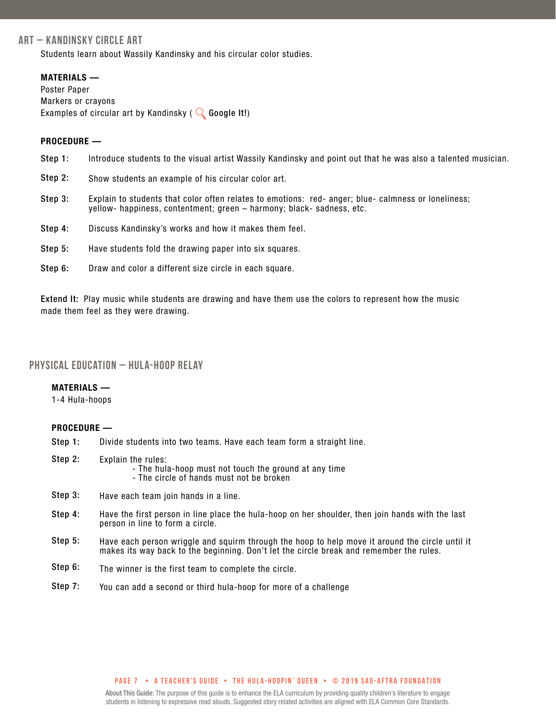#### **ART – Kandinsky Circle Art**

Students learn about Wassily Kandinsky and his circular color studies.

#### MATERIALS —

Poster Paper Markers or crayons Examples of circular art by Kandinsky ( $\bigcirc$  Google It!)

#### PROCEDURE —

- Introduce students to the visual artist Wassily Kandinsky and point out that he was also a talented musician. Step 1:
- Show students an example of his circular color art. Step 2:
- Explain to students that color often relates to emotions: red- anger; blue- calmness or loneliness; yellow- happiness, contentment; green – harmony; black- sadness, etc. Step 3:
- Discuss Kandinsky's works and how it makes them feel. Step 4:
- Have students fold the drawing paper into six squares. Step 5:
- Draw and color a different size circle in each square. Step 6:

Extend It: Play music while students are drawing and have them use the colors to represent how the music made them feel as they were drawing.

#### **physical education – Hula-Hoop Relay**

#### MATERIALS —

1-4 Hula-hoops

#### PROCEDURE —

- Divide students into two teams. Have each team form a straight line. Step 1:
- Explain the rules: - The hula-hoop must not touch the ground at any time - The circle of hands must not be broken Step 2:
- Have each team join hands in a line. Step 3:
- Have the first person in line place the hula-hoop on her shoulder, then join hands with the last person in line to form a circle. Step 4:
- Have each person wriggle and squirm through the hoop to help move it around the circle until it makes its way back to the beginning. Don't let the circle break and remember the rules. Step 5:
- The winner is the first team to complete the circle. Step 6:
- You can add a second or third hula-hoop for more of a challenge Step 7:

#### **PAGE 7 • A teacher's GUIDE • the hula-hoopin' queen • © 2019 SAG-AFTRA FOUNDATION**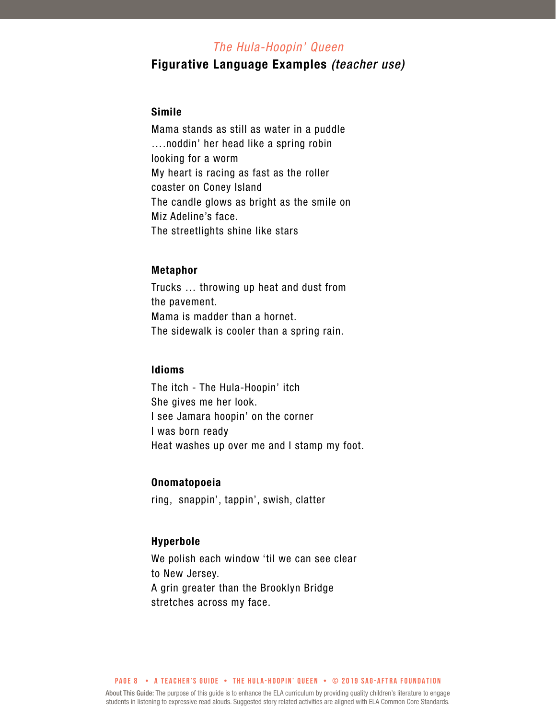#### *The Hula-Hoopin' Queen*

#### Figurative Language Examples *(teacher use)*

#### Simile

Mama stands as still as water in a puddle ….noddin' her head like a spring robin looking for a worm My heart is racing as fast as the roller coaster on Coney Island The candle glows as bright as the smile on Miz Adeline's face. The streetlights shine like stars

#### Metaphor

Trucks … throwing up heat and dust from the pavement. Mama is madder than a hornet. The sidewalk is cooler than a spring rain.

#### Idioms

The itch - The Hula-Hoopin' itch She gives me her look. I see Jamara hoopin' on the corner I was born ready Heat washes up over me and I stamp my foot.

#### Onomatopoeia

ring, snappin', tappin', swish, clatter

#### Hyperbole

We polish each window 'til we can see clear to New Jersey. A grin greater than the Brooklyn Bridge stretches across my face.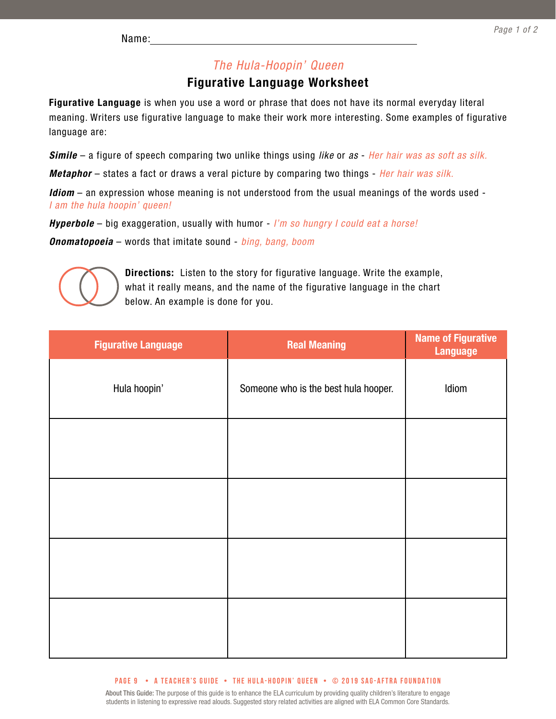#### *The Hula-Hoopin' Queen*

#### Figurative Language Worksheet

Figurative Language is when you use a word or phrase that does not have its normal everyday literal meaning. Writers use figurative language to make their work more interesting. Some examples of figurative language are:

*Simile* – a figure of speech comparing two unlike things using *like* or *as* - *Her hair was as soft as silk.*

*Metaphor* – states a fact or draws a veral picture by comparing two things - *Her hair was silk.*

*Idiom* – an expression whose meaning is not understood from the usual meanings of the words used - *I am the hula hoopin' queen!*

*Hyperbole* – big exaggeration, usually with humor - *I'm so hungry I could eat a horse!*

*Onomatopoeia* – words that imitate sound - *bing, bang, boom*



Directions: Listen to the story for figurative language. Write the example, what it really means, and the name of the figurative language in the chart below. An example is done for you.

| <b>Figurative Language</b> | <b>Real Meaning</b>                  | <b>Name of Figurative</b><br><b>Language</b> |
|----------------------------|--------------------------------------|----------------------------------------------|
| Hula hoopin'               | Someone who is the best hula hooper. | Idiom                                        |
|                            |                                      |                                              |
|                            |                                      |                                              |
|                            |                                      |                                              |
|                            |                                      |                                              |

#### **PAGE 9 • A teacher's GUIDE • the hula-hoopin' queen • © 2019 SAG-AFTRA FOUNDATION**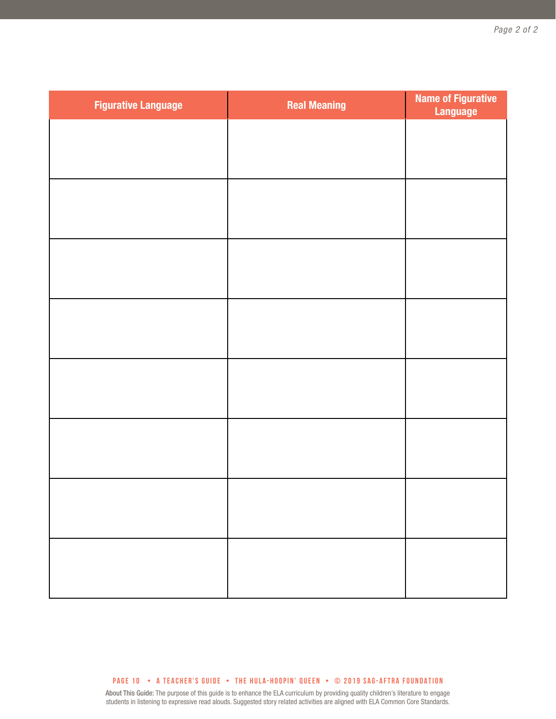| <b>Figurative Language</b> | <b>Real Meaning</b> | <b>Name of Figurative</b><br><b>Language</b> |
|----------------------------|---------------------|----------------------------------------------|
|                            |                     |                                              |
|                            |                     |                                              |
|                            |                     |                                              |
|                            |                     |                                              |
|                            |                     |                                              |
|                            |                     |                                              |
|                            |                     |                                              |
|                            |                     |                                              |
|                            |                     |                                              |
|                            |                     |                                              |
|                            |                     |                                              |
|                            |                     |                                              |
|                            |                     |                                              |
|                            |                     |                                              |
|                            |                     |                                              |
|                            |                     |                                              |

**PAGE 10 • A teacher's GUIDE • the hula-hoopin' queen • © 2019 SAG-AFTRA FOUNDATION**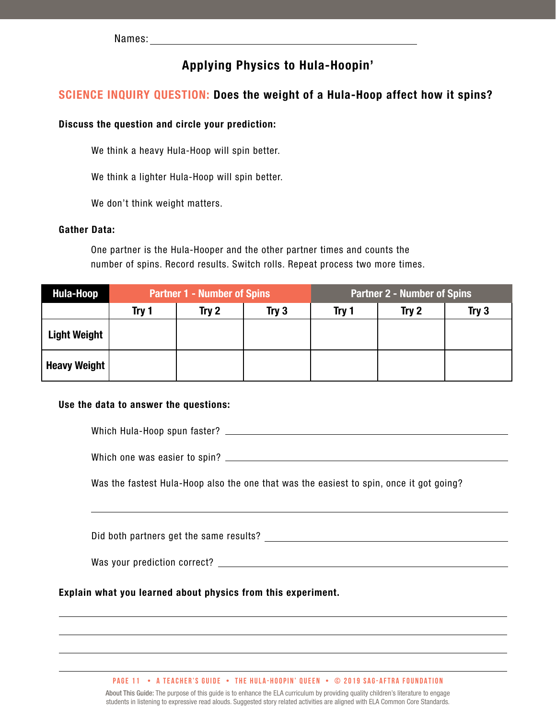#### Applying Physics to Hula-Hoopin'

#### SCIENCE INQUIRY QUESTION: Does the weight of a Hula-Hoop affect how it spins?

#### Discuss the question and circle your prediction:

We think a heavy Hula-Hoop will spin better.

We think a lighter Hula-Hoop will spin better.

We don't think weight matters.

#### Gather Data:

One partner is the Hula-Hooper and the other partner times and counts the number of spins. Record results. Switch rolls. Repeat process two more times.

| Hula-Hoop           | <b>Partner 1 - Number of Spins</b> |       | <b>Partner 2 - Number of Spins</b> |       |       |       |
|---------------------|------------------------------------|-------|------------------------------------|-------|-------|-------|
|                     | Try 1                              | Try 2 | Try $3$                            | Try 1 | Try 2 | Try 3 |
| <b>Light Weight</b> |                                    |       |                                    |       |       |       |
| Heavy Weight        |                                    |       |                                    |       |       |       |

#### Use the data to answer the questions:

Which Hula-Hoop spun faster?

Which one was easier to spin?

Was the fastest Hula-Hoop also the one that was the easiest to spin, once it got going?

Did both partners get the same results? Did both partners are not all the same results?

Was your prediction correct?

Explain what you learned about physics from this experiment.

**PAGE 11 • A teacher's GUIDE • the hula-hoopin' queen • © 2019 SAG-AFTRA FOUNDATION**